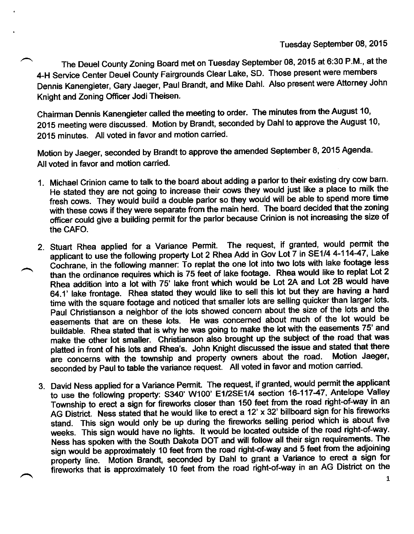The Deuel County Zoning Board met on Tuesday September 08, 2015 at 6:30 P.M., at the 4-H Service center Deuel county Fairgrounds clear Lake, sD. Those present were members Dennis Kanengieter, Gary Jaeger, Paul Brandt, and Mike Dahl. Also present were Attorney John Knight and Zoning Officer Jodi Theisen.

Chairman Dennis Kanengieter called the meeting to order. The minutes from the August 10, 2015 meeting were discussed. Motion by Brandt, seconded by Dahl to approve the August 10' 2015 minutes. All voted in favor and motion carried.

Motion by Jaeger, seconded by Brandt to approve the amended September 8, 2015 Agenda. All voted in favor and motion carried.

- 1. Michael Crinion came to talk to the board about adding a parlor to their existing dry cow barn' He stated they are not going to increase their cows they would just like a place to milk the fresh cows. They would build a double parlor so they would will be able to spend more time with these cows if they were separate from the main herd. The board decided that the zoning officer could give a building permit for the parlor because Crinion is not increasing the size of the CAFO.
- 2. Stuart Rhea applied for a Variance Permit. The request, if granted, would permit the applicant to use the following property Lot 2 Rhea Add in Gov Lot 7 in SE1/4 4-114-47, Lake Cochrane, in the following manner: To replat the one lot into two lots with lake footage less than the ordinance requires which is 75 feet of lake footage. Rhea would like to replat Lot 2 Rhea addition into a lot with 75' lake front which would be Lot 2A and Lot 28 would have 64.1' lake frontage. Rhea stated they would like to sell this lot but they are having a hard time with the square footage and noticed that smaller lots are selling quicker than larger lots. Paul Christianson a neighbor of the lots showed concern about the size of the lots and the easements that are on these lots. He was concerned about much of the lot would be buildable. Rhea stated that is why he was going to make the lot with the easements 75' and make the other lot smaller. Christianson also brought up the subject of the road that was platted in front of his lots and Rhea's. John Knight discussed the issue and stated that there<br>examples with the township and property owners about the road. Motion Jaeger, are concerns with the township and property owners about the road. seconded by Paul to table the variance request. All voted in favor and motion carried.
- 3. David Ness applied for a Variance Permit. The request, if granted, would permit the applicant to use the following property: S340' W100' E1/2SE1/4 section 16-117-47, Antelope Valley Township to erect a sign for fireworks closer than 150 feet from the road right-of-way in an AG District. Ness stated that he would like to erect a 12' x 32' billboard sign for his fireworks stand. This sign would only be up during the fireworks selling period which is about five weeks. This sign would have no lights. It would be located outside of the road right-of-way. Ness has spoken with the South Dakota DOT and will follow all their sign requirements. The sign would be approximately 10 feet from the road right-of-way and 5 feet from the adjoining property line. Motion Brandt, seconded by Dahl to grant a Variance to erect a sign for fireworks that is approximately 10 feet from the road right-of-way in an AG District on the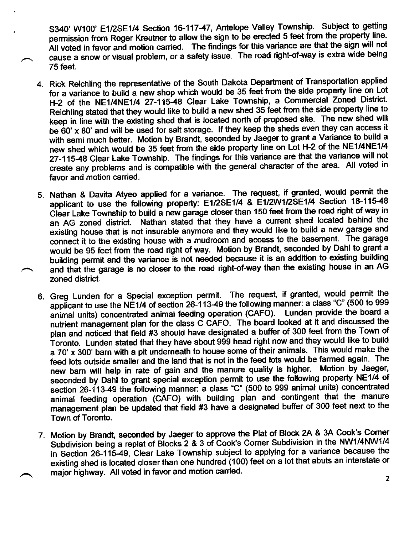S340' W100' E1/2SE1/4 Section 16-117-47, Antelope Valley Township. Subject to getting permission from Roger Kreutner to allow the sign to be erected 5 feet from the property line. All voted in favor and motion carried. The findings for this variance are that the sign will not cause a snow or visual problem, or a safety issue. The road right-of-way is extra wide being 75feet.

- 4. Rick Reichling the representative of the South Dakota Department of Transportation applied for a variance to build a new shop which would be 35 feet from the side property line on Lot H-2 of the NE1/4NE1/4 27-11548 Clear Lake Township, a commercial zoned District. Reichling stated that they would like to build a new shed 35 feet from the side property line to keep in line with the existing shed that is located north of proposed site. The new shed will be 60' x 80' and will be used for salt storage. If they keep the sheds even they can access it with semi much better. Motion by Brandt, seconded by Jaeger to grant a Variance to build a new shed which would be 35 feet from the side properly line on Lot H-2 of the NE1/4NE1/4 27-115-48 Clear Lake Township. The findings for this variance are that the variance will not create any processive and create any problems and is compatible with the general character of the area. All voted in
- 5. Nathan & Davita Atyeo applied for a variance. The request, if granted, would permit the applicant to use the following property: E1/2SE1/4 & E1/2W1/2SE1/4 Section 18-115-48 Clear Lake Township to build a new garage closer than 150 feet from the road right of way in an AG zoned district. Nathan stated that they have a current shed located behind the existing house that is not insurable anymore and they would like to build a new garage and connect it to the existing house with a mudroom and access to the basement. The garage would be 95 feet from the road right of way. Motion by Brandt, seconded by Dahl to grant <sup>a</sup> building permit and the variance is not needed because it is an addition to existing building and that the garage is no closer to the road right-of-way than the existing house in an AG zoned district.
- 6. Greg Lunden for a Special exception permit. The request, if granted, would permit the animal units) concentrated animal feeding operation (CAFO). Lunden provide the board a applicant to use the NE1/4 of section 26-113-49 the following manner: a class "C" (500 to 999 nutrient management plan for the class C CRfO. The board looked at it and discussed the plan and noticed that field #3 should have designated a buffer of 300 feet from the Town of Toronto. Lunden stated that they have about 999 head right now and they would like to build a 70' x 300' barn with a pit underneath to house some of their animals. This would make the feed lots outside smaller and the land that is not in the feed lots would be farmed again. The new barn will help in rate of gain and the manure quality is higher. Motion by Jaeger, seconded by Dahl to grant special exception permit to use the following property NE1/4 of section 26-113-49 the following manner: a class "C" (500 to 999 animal units) concentrated animal feeding operation (CAFO) with building plan and contingent that the manure management plan be updated that field #3 have a designated buffer of 300 feet next to the Town of Toronto.
- 7. Motion by Brandt, seconded by Jaeger to approve the Plat of Block 2A & 3A Cook's Corner Subdivision being a replat of Blocks 2 & 3 of Cook's Corner Subdivision in the NW1/4NW1/4 in Section 26-115-49, Clear Lake Township subject to applying for a variance because the existing shed is located closer than one hundred (100) feet on a lot that abuts an interstate or major highway. All voted in favor and motion carried.